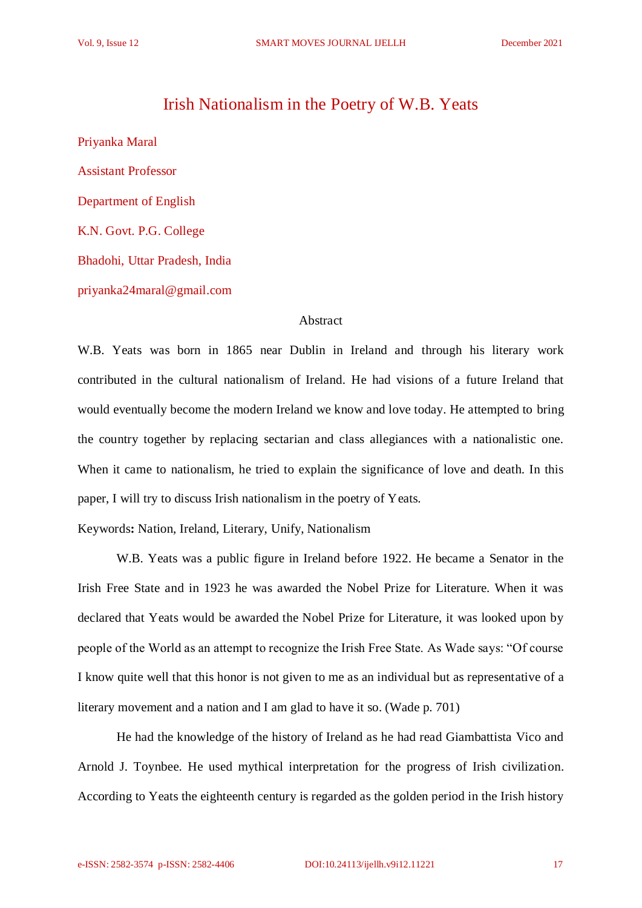## Irish Nationalism in the Poetry of W.B. Yeats

Priyanka Maral Assistant Professor Department of English K.N. Govt. P.G. College Bhadohi, Uttar Pradesh, India priyanka24maral@gmail.com

## Abstract

W.B. Yeats was born in 1865 near Dublin in Ireland and through his literary work contributed in the cultural nationalism of Ireland. He had visions of a future Ireland that would eventually become the modern Ireland we know and love today. He attempted to bring the country together by replacing sectarian and class allegiances with a nationalistic one. When it came to nationalism, he tried to explain the significance of love and death. In this paper, I will try to discuss Irish nationalism in the poetry of Yeats.

Keywords**:** Nation, Ireland, Literary, Unify, Nationalism

W.B. Yeats was a public figure in Ireland before 1922. He became a Senator in the Irish Free State and in 1923 he was awarded the Nobel Prize for Literature. When it was declared that Yeats would be awarded the Nobel Prize for Literature, it was looked upon by people of the World as an attempt to recognize the Irish Free State. As Wade says: "Of course I know quite well that this honor is not given to me as an individual but as representative of a literary movement and a nation and I am glad to have it so. (Wade p. 701)

He had the knowledge of the history of Ireland as he had read Giambattista Vico and Arnold J. Toynbee. He used mythical interpretation for the progress of Irish civilization. According to Yeats the eighteenth century is regarded as the golden period in the Irish history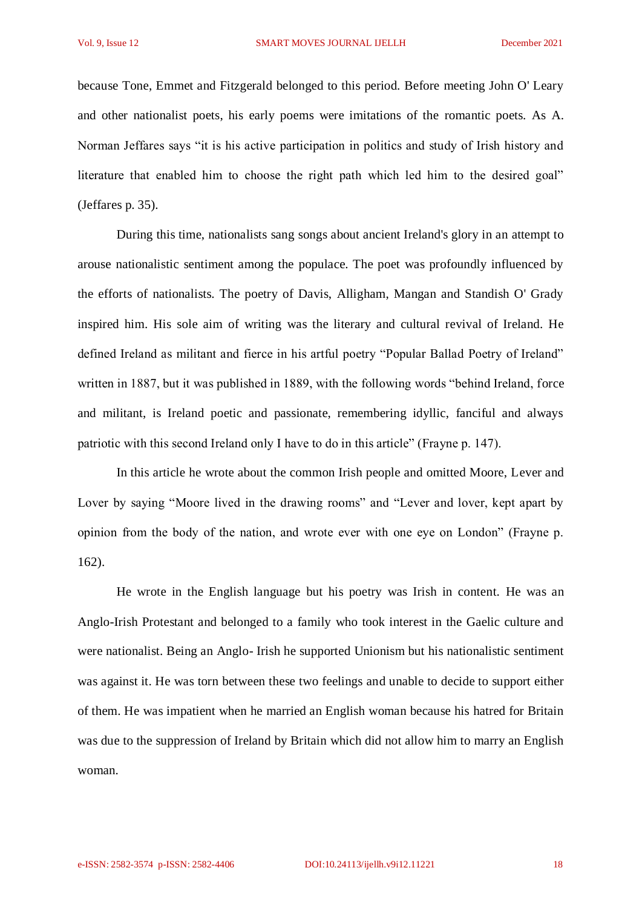because Tone, Emmet and Fitzgerald belonged to this period. Before meeting John O' Leary and other nationalist poets, his early poems were imitations of the romantic poets. As A. Norman Jeffares says "it is his active participation in politics and study of Irish history and literature that enabled him to choose the right path which led him to the desired goal" (Jeffares p. 35).

During this time, nationalists sang songs about ancient Ireland's glory in an attempt to arouse nationalistic sentiment among the populace. The poet was profoundly influenced by the efforts of nationalists. The poetry of Davis, Alligham, Mangan and Standish O' Grady inspired him. His sole aim of writing was the literary and cultural revival of Ireland. He defined Ireland as militant and fierce in his artful poetry "Popular Ballad Poetry of Ireland" written in 1887, but it was published in 1889, with the following words "behind Ireland, force and militant, is Ireland poetic and passionate, remembering idyllic, fanciful and always patriotic with this second Ireland only I have to do in this article" (Frayne p. 147).

In this article he wrote about the common Irish people and omitted Moore, Lever and Lover by saying "Moore lived in the drawing rooms" and "Lever and lover, kept apart by opinion from the body of the nation, and wrote ever with one eye on London" (Frayne p. 162).

He wrote in the English language but his poetry was Irish in content. He was an Anglo-Irish Protestant and belonged to a family who took interest in the Gaelic culture and were nationalist. Being an Anglo- Irish he supported Unionism but his nationalistic sentiment was against it. He was torn between these two feelings and unable to decide to support either of them. He was impatient when he married an English woman because his hatred for Britain was due to the suppression of Ireland by Britain which did not allow him to marry an English woman.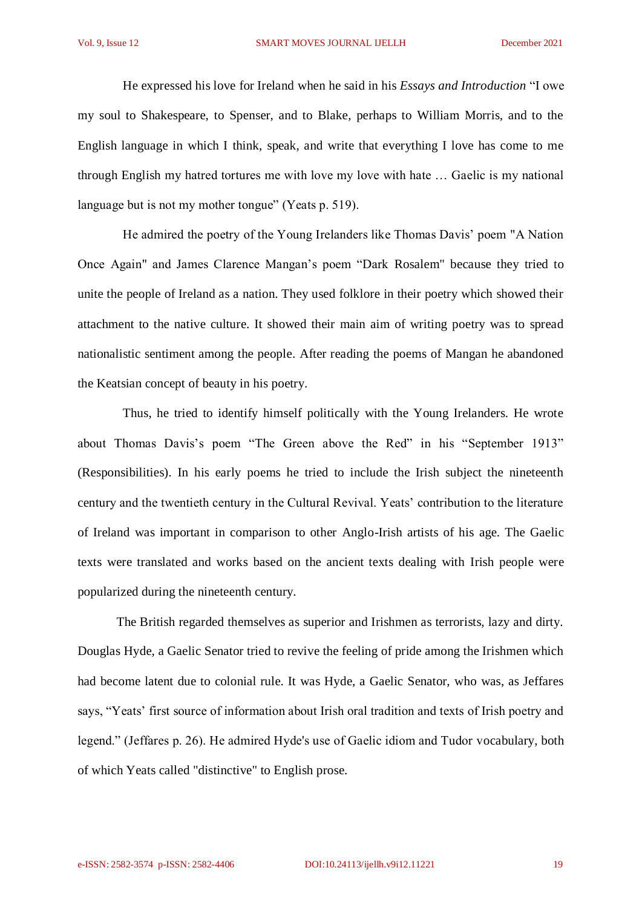He expressed his love for Ireland when he said in his *Essays and Introduction* "I owe my soul to Shakespeare, to Spenser, and to Blake, perhaps to William Morris, and to the English language in which I think, speak, and write that everything I love has come to me through English my hatred tortures me with love my love with hate … Gaelic is my national language but is not my mother tongue" (Yeats p. 519).

 He admired the poetry of the Young Irelanders like Thomas Davis' poem "A Nation Once Again" and James Clarence Mangan's poem "Dark Rosalem" because they tried to unite the people of Ireland as a nation. They used folklore in their poetry which showed their attachment to the native culture. It showed their main aim of writing poetry was to spread nationalistic sentiment among the people. After reading the poems of Mangan he abandoned the Keatsian concept of beauty in his poetry.

 Thus, he tried to identify himself politically with the Young Irelanders. He wrote about Thomas Davis's poem "The Green above the Red" in his "September 1913" (Responsibilities). In his early poems he tried to include the Irish subject the nineteenth century and the twentieth century in the Cultural Revival. Yeats' contribution to the literature of Ireland was important in comparison to other Anglo-Irish artists of his age. The Gaelic texts were translated and works based on the ancient texts dealing with Irish people were popularized during the nineteenth century.

The British regarded themselves as superior and Irishmen as terrorists, lazy and dirty. Douglas Hyde, a Gaelic Senator tried to revive the feeling of pride among the Irishmen which had become latent due to colonial rule. It was Hyde, a Gaelic Senator, who was, as Jeffares says, "Yeats' first source of information about Irish oral tradition and texts of Irish poetry and legend." (Jeffares p. 26). He admired Hyde's use of Gaelic idiom and Tudor vocabulary, both of which Yeats called "distinctive" to English prose.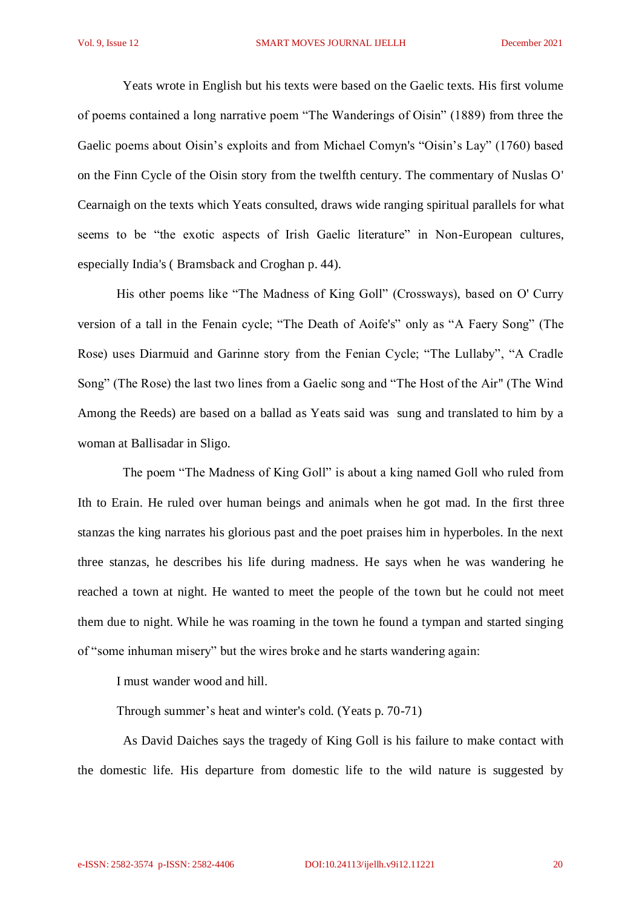Yeats wrote in English but his texts were based on the Gaelic texts. His first volume of poems contained a long narrative poem "The Wanderings of Oisin" (1889) from three the Gaelic poems about Oisin's exploits and from Michael Comyn's "Oisin's Lay" (1760) based on the Finn Cycle of the Oisin story from the twelfth century. The commentary of Nuslas O' Cearnaigh on the texts which Yeats consulted, draws wide ranging spiritual parallels for what seems to be "the exotic aspects of Irish Gaelic literature" in Non-European cultures, especially India's ( Bramsback and Croghan p. 44).

His other poems like "The Madness of King Goll" (Crossways), based on O' Curry version of a tall in the Fenain cycle; "The Death of Aoife's" only as "A Faery Song" (The Rose) uses Diarmuid and Garinne story from the Fenian Cycle; "The Lullaby", "A Cradle Song" (The Rose) the last two lines from a Gaelic song and "The Host of the Air" (The Wind Among the Reeds) are based on a ballad as Yeats said was sung and translated to him by a woman at Ballisadar in Sligo.

 The poem "The Madness of King Goll" is about a king named Goll who ruled from Ith to Erain. He ruled over human beings and animals when he got mad. In the first three stanzas the king narrates his glorious past and the poet praises him in hyperboles. In the next three stanzas, he describes his life during madness. He says when he was wandering he reached a town at night. He wanted to meet the people of the town but he could not meet them due to night. While he was roaming in the town he found a tympan and started singing of "some inhuman misery" but the wires broke and he starts wandering again:

I must wander wood and hill.

Through summer's heat and winter's cold. (Yeats p. 70-71)

 As David Daiches says the tragedy of King Goll is his failure to make contact with the domestic life. His departure from domestic life to the wild nature is suggested by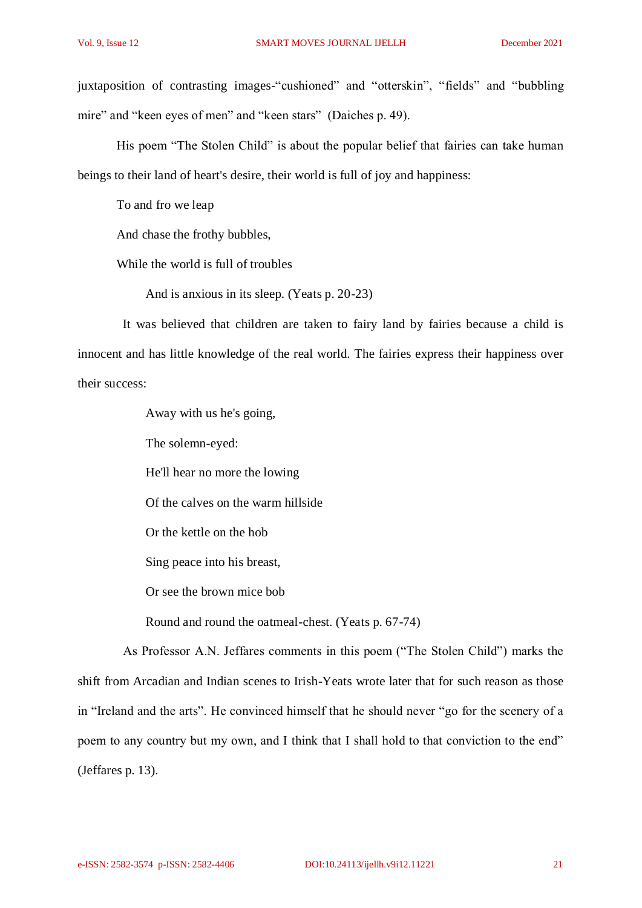juxtaposition of contrasting images-"cushioned" and "otterskin", "fields" and "bubbling mire" and "keen eyes of men" and "keen stars" (Daiches p. 49).

His poem "The Stolen Child" is about the popular belief that fairies can take human beings to their land of heart's desire, their world is full of joy and happiness:

To and fro we leap

And chase the frothy bubbles,

While the world is full of troubles

And is anxious in its sleep. (Yeats p. 20-23)

 It was believed that children are taken to fairy land by fairies because a child is innocent and has little knowledge of the real world. The fairies express their happiness over their success:

Away with us he's going,

The solemn-eyed:

He'll hear no more the lowing

Of the calves on the warm hillside

Or the kettle on the hob

Sing peace into his breast,

Or see the brown mice bob

Round and round the oatmeal-chest. (Yeats p. 67-74)

 As Professor A.N. Jeffares comments in this poem ("The Stolen Child") marks the shift from Arcadian and Indian scenes to Irish-Yeats wrote later that for such reason as those in "Ireland and the arts". He convinced himself that he should never "go for the scenery of a poem to any country but my own, and I think that I shall hold to that conviction to the end" (Jeffares p. 13).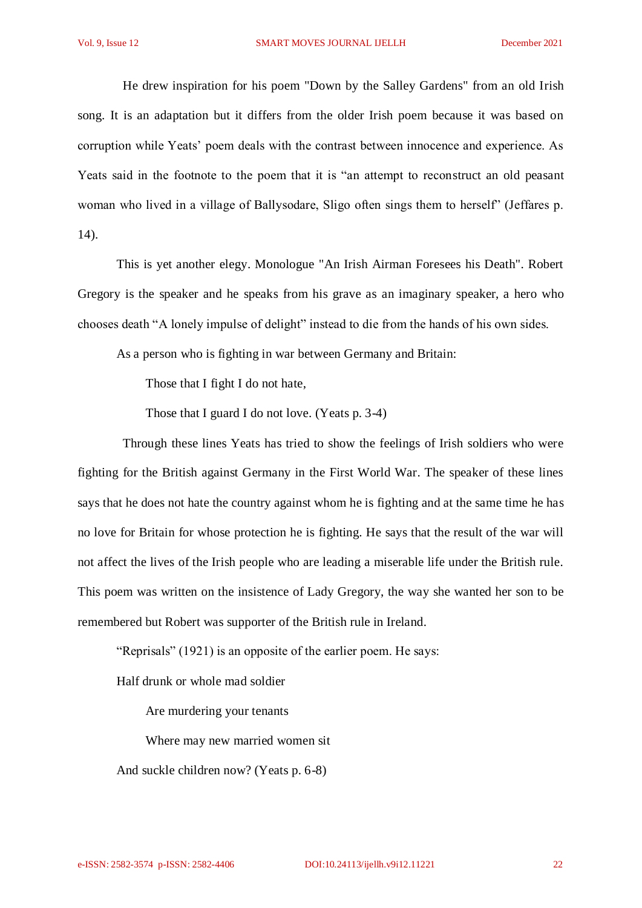He drew inspiration for his poem "Down by the Salley Gardens" from an old Irish song. It is an adaptation but it differs from the older Irish poem because it was based on corruption while Yeats' poem deals with the contrast between innocence and experience. As Yeats said in the footnote to the poem that it is "an attempt to reconstruct an old peasant woman who lived in a village of Ballysodare, Sligo often sings them to herself" (Jeffares p. 14).

This is yet another elegy. Monologue "An Irish Airman Foresees his Death". Robert Gregory is the speaker and he speaks from his grave as an imaginary speaker, a hero who chooses death "A lonely impulse of delight" instead to die from the hands of his own sides.

As a person who is fighting in war between Germany and Britain:

Those that I fight I do not hate,

Those that I guard I do not love. (Yeats p. 3-4)

 Through these lines Yeats has tried to show the feelings of Irish soldiers who were fighting for the British against Germany in the First World War. The speaker of these lines says that he does not hate the country against whom he is fighting and at the same time he has no love for Britain for whose protection he is fighting. He says that the result of the war will not affect the lives of the Irish people who are leading a miserable life under the British rule. This poem was written on the insistence of Lady Gregory, the way she wanted her son to be remembered but Robert was supporter of the British rule in Ireland.

"Reprisals" (1921) is an opposite of the earlier poem. He says:

Half drunk or whole mad soldier

Are murdering your tenants

Where may new married women sit

And suckle children now? (Yeats p. 6-8)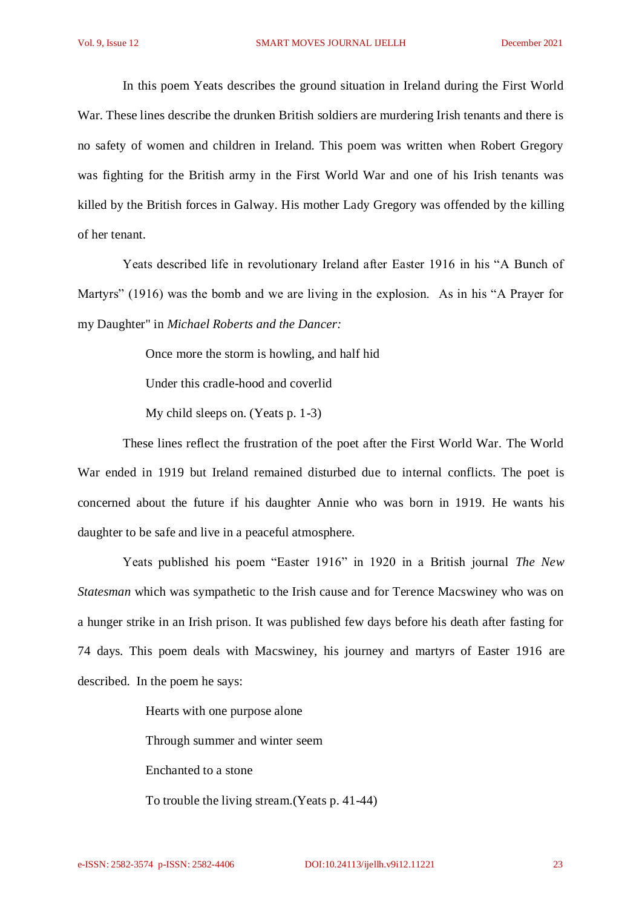In this poem Yeats describes the ground situation in Ireland during the First World War. These lines describe the drunken British soldiers are murdering Irish tenants and there is no safety of women and children in Ireland. This poem was written when Robert Gregory was fighting for the British army in the First World War and one of his Irish tenants was killed by the British forces in Galway. His mother Lady Gregory was offended by the killing of her tenant.

 Yeats described life in revolutionary Ireland after Easter 1916 in his "A Bunch of Martyrs" (1916) was the bomb and we are living in the explosion. As in his "A Prayer for my Daughter" in *Michael Roberts and the Dancer:*

Once more the storm is howling, and half hid

Under this cradle-hood and coverlid

My child sleeps on. (Yeats p. 1-3)

 These lines reflect the frustration of the poet after the First World War. The World War ended in 1919 but Ireland remained disturbed due to internal conflicts. The poet is concerned about the future if his daughter Annie who was born in 1919. He wants his daughter to be safe and live in a peaceful atmosphere.

 Yeats published his poem "Easter 1916" in 1920 in a British journal *The New Statesman* which was sympathetic to the Irish cause and for Terence Macswiney who was on a hunger strike in an Irish prison. It was published few days before his death after fasting for 74 days. This poem deals with Macswiney, his journey and martyrs of Easter 1916 are described. In the poem he says:

Hearts with one purpose alone

Through summer and winter seem

Enchanted to a stone

To trouble the living stream.(Yeats p. 41-44)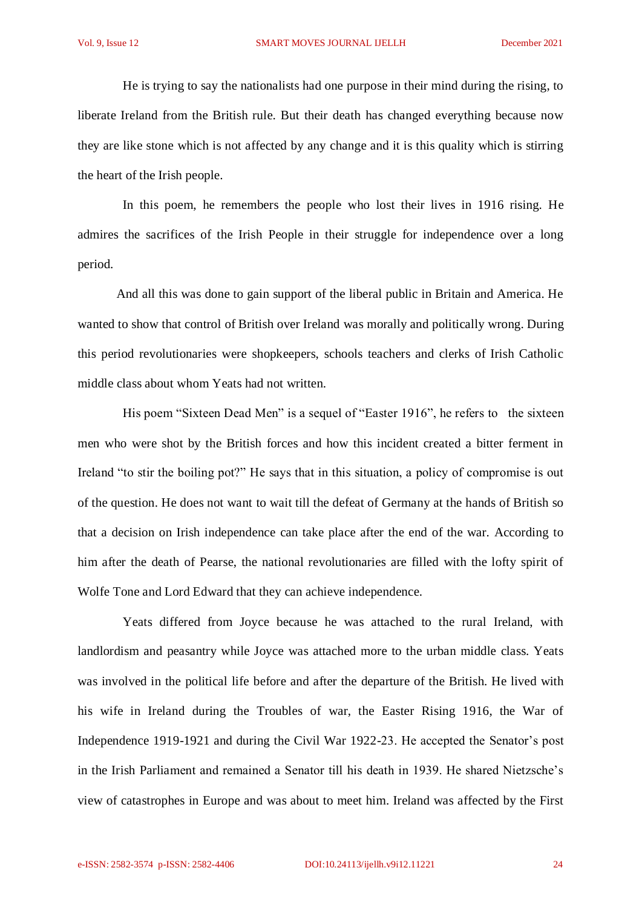He is trying to say the nationalists had one purpose in their mind during the rising, to liberate Ireland from the British rule. But their death has changed everything because now they are like stone which is not affected by any change and it is this quality which is stirring the heart of the Irish people.

 In this poem, he remembers the people who lost their lives in 1916 rising. He admires the sacrifices of the Irish People in their struggle for independence over a long period.

And all this was done to gain support of the liberal public in Britain and America. He wanted to show that control of British over Ireland was morally and politically wrong. During this period revolutionaries were shopkeepers, schools teachers and clerks of Irish Catholic middle class about whom Yeats had not written.

His poem "Sixteen Dead Men" is a sequel of "Easter 1916", he refers to the sixteen men who were shot by the British forces and how this incident created a bitter ferment in Ireland "to stir the boiling pot?" He says that in this situation, a policy of compromise is out of the question. He does not want to wait till the defeat of Germany at the hands of British so that a decision on Irish independence can take place after the end of the war. According to him after the death of Pearse, the national revolutionaries are filled with the lofty spirit of Wolfe Tone and Lord Edward that they can achieve independence.

 Yeats differed from Joyce because he was attached to the rural Ireland, with landlordism and peasantry while Joyce was attached more to the urban middle class. Yeats was involved in the political life before and after the departure of the British. He lived with his wife in Ireland during the Troubles of war, the Easter Rising 1916, the War of Independence 1919-1921 and during the Civil War 1922-23. He accepted the Senator's post in the Irish Parliament and remained a Senator till his death in 1939. He shared Nietzsche's view of catastrophes in Europe and was about to meet him. Ireland was affected by the First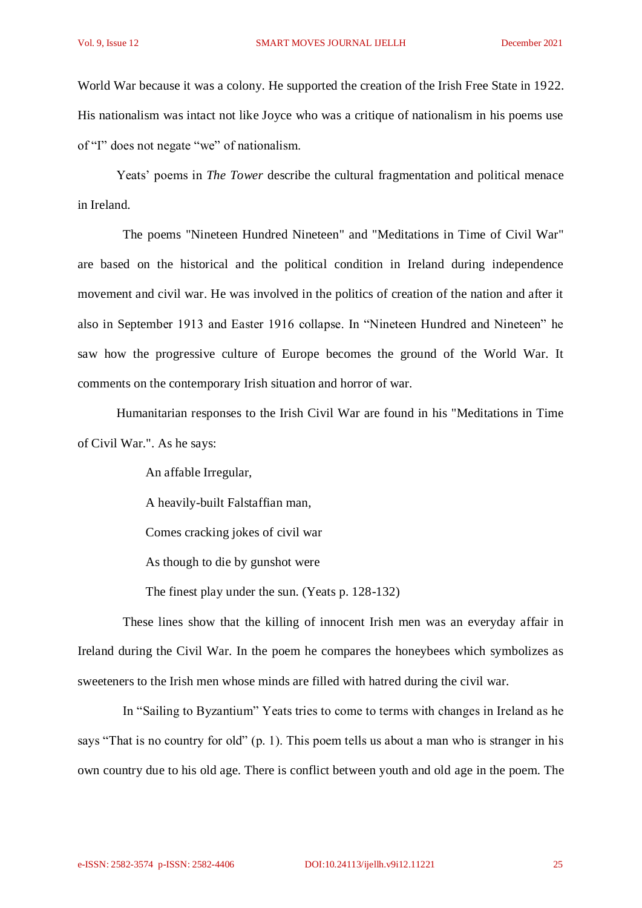World War because it was a colony. He supported the creation of the Irish Free State in 1922. His nationalism was intact not like Joyce who was a critique of nationalism in his poems use of "I" does not negate "we" of nationalism.

Yeats' poems in *The Tower* describe the cultural fragmentation and political menace in Ireland.

 The poems "Nineteen Hundred Nineteen" and "Meditations in Time of Civil War" are based on the historical and the political condition in Ireland during independence movement and civil war. He was involved in the politics of creation of the nation and after it also in September 1913 and Easter 1916 collapse. In "Nineteen Hundred and Nineteen" he saw how the progressive culture of Europe becomes the ground of the World War. It comments on the contemporary Irish situation and horror of war.

Humanitarian responses to the Irish Civil War are found in his "Meditations in Time of Civil War.". As he says:

An affable Irregular,

A heavily-built Falstaffian man,

Comes cracking jokes of civil war

As though to die by gunshot were

The finest play under the sun. (Yeats p. 128-132)

 These lines show that the killing of innocent Irish men was an everyday affair in Ireland during the Civil War. In the poem he compares the honeybees which symbolizes as sweeteners to the Irish men whose minds are filled with hatred during the civil war.

 In "Sailing to Byzantium" Yeats tries to come to terms with changes in Ireland as he says "That is no country for old" (p. 1). This poem tells us about a man who is stranger in his own country due to his old age. There is conflict between youth and old age in the poem. The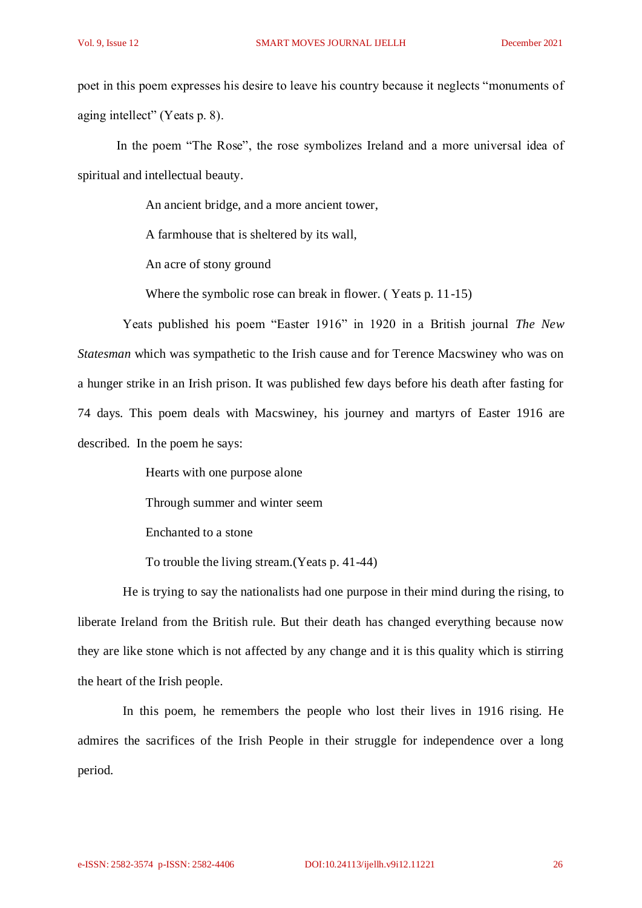poet in this poem expresses his desire to leave his country because it neglects "monuments of aging intellect" (Yeats p. 8).

In the poem "The Rose", the rose symbolizes Ireland and a more universal idea of spiritual and intellectual beauty.

An ancient bridge, and a more ancient tower,

A farmhouse that is sheltered by its wall,

An acre of stony ground

Where the symbolic rose can break in flower. ( Yeats p. 11-15)

 Yeats published his poem "Easter 1916" in 1920 in a British journal *The New Statesman* which was sympathetic to the Irish cause and for Terence Macswiney who was on a hunger strike in an Irish prison. It was published few days before his death after fasting for 74 days. This poem deals with Macswiney, his journey and martyrs of Easter 1916 are described. In the poem he says:

Hearts with one purpose alone

Through summer and winter seem

Enchanted to a stone

To trouble the living stream.(Yeats p. 41-44)

 He is trying to say the nationalists had one purpose in their mind during the rising, to liberate Ireland from the British rule. But their death has changed everything because now they are like stone which is not affected by any change and it is this quality which is stirring the heart of the Irish people.

 In this poem, he remembers the people who lost their lives in 1916 rising. He admires the sacrifices of the Irish People in their struggle for independence over a long period.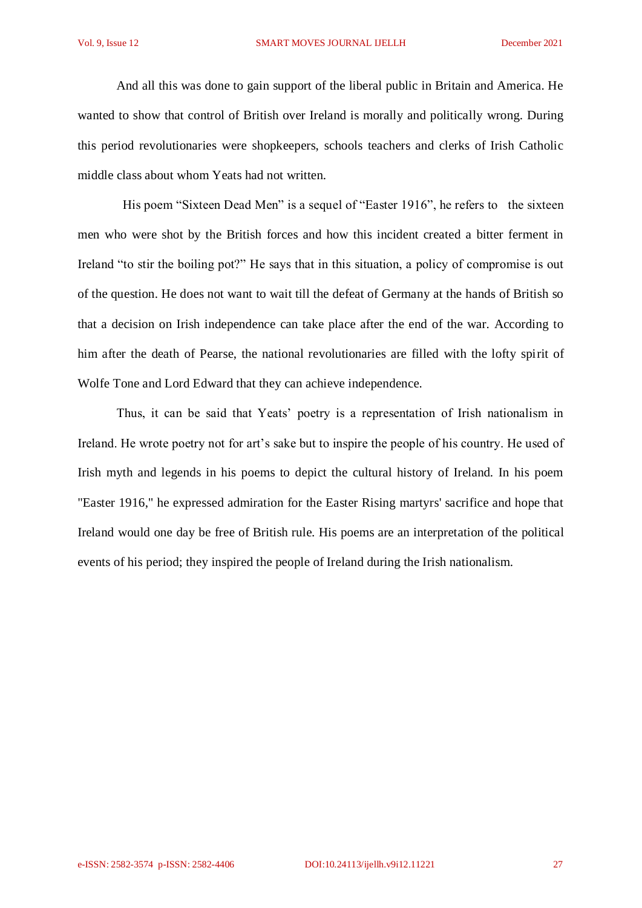And all this was done to gain support of the liberal public in Britain and America. He wanted to show that control of British over Ireland is morally and politically wrong. During this period revolutionaries were shopkeepers, schools teachers and clerks of Irish Catholic middle class about whom Yeats had not written.

His poem "Sixteen Dead Men" is a sequel of "Easter 1916", he refers to the sixteen men who were shot by the British forces and how this incident created a bitter ferment in Ireland "to stir the boiling pot?" He says that in this situation, a policy of compromise is out of the question. He does not want to wait till the defeat of Germany at the hands of British so that a decision on Irish independence can take place after the end of the war. According to him after the death of Pearse, the national revolutionaries are filled with the lofty spirit of Wolfe Tone and Lord Edward that they can achieve independence.

Thus, it can be said that Yeats' poetry is a representation of Irish nationalism in Ireland. He wrote poetry not for art's sake but to inspire the people of his country. He used of Irish myth and legends in his poems to depict the cultural history of Ireland. In his poem "Easter 1916," he expressed admiration for the Easter Rising martyrs' sacrifice and hope that Ireland would one day be free of British rule. His poems are an interpretation of the political events of his period; they inspired the people of Ireland during the Irish nationalism.